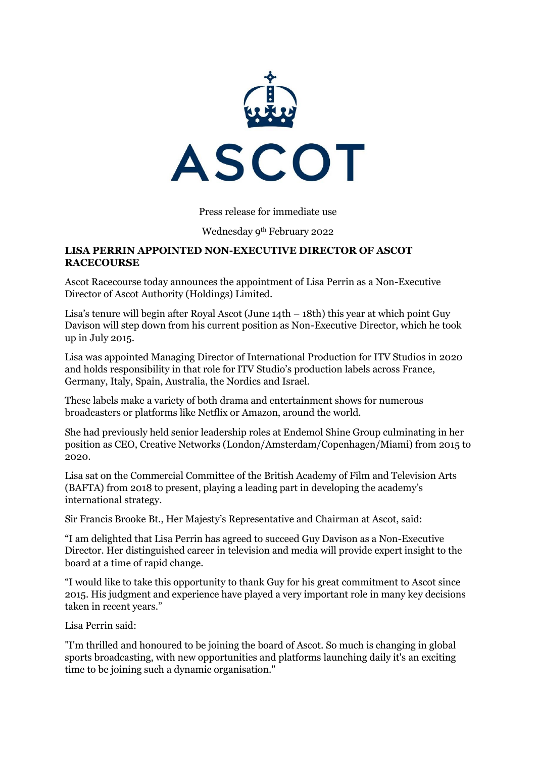

# Press release for immediate use

### Wednesday 9th February 2022

### **LISA PERRIN APPOINTED NON-EXECUTIVE DIRECTOR OF ASCOT RACECOURSE**

Ascot Racecourse today announces the appointment of Lisa Perrin as a Non-Executive Director of Ascot Authority (Holdings) Limited.

Lisa's tenure will begin after Royal Ascot (June 14th – 18th) this year at which point Guy Davison will step down from his current position as Non-Executive Director, which he took up in July 2015.

Lisa was appointed Managing Director of International Production for ITV Studios in 2020 and holds responsibility in that role for ITV Studio's production labels across France, Germany, Italy, Spain, Australia, the Nordics and Israel.

These labels make a variety of both drama and entertainment shows for numerous broadcasters or platforms like Netflix or Amazon, around the world.

She had previously held senior leadership roles at Endemol Shine Group culminating in her position as CEO, Creative Networks (London/Amsterdam/Copenhagen/Miami) from 2015 to 2020.

Lisa sat on the Commercial Committee of the British Academy of Film and Television Arts (BAFTA) from 2018 to present, playing a leading part in developing the academy's international strategy.

Sir Francis Brooke Bt., Her Majesty's Representative and Chairman at Ascot, said:

"I am delighted that Lisa Perrin has agreed to succeed Guy Davison as a Non-Executive Director. Her distinguished career in television and media will provide expert insight to the board at a time of rapid change.

"I would like to take this opportunity to thank Guy for his great commitment to Ascot since 2015. His judgment and experience have played a very important role in many key decisions taken in recent years."

Lisa Perrin said:

"I'm thrilled and honoured to be joining the board of Ascot. So much is changing in global sports broadcasting, with new opportunities and platforms launching daily it's an exciting time to be joining such a dynamic organisation."